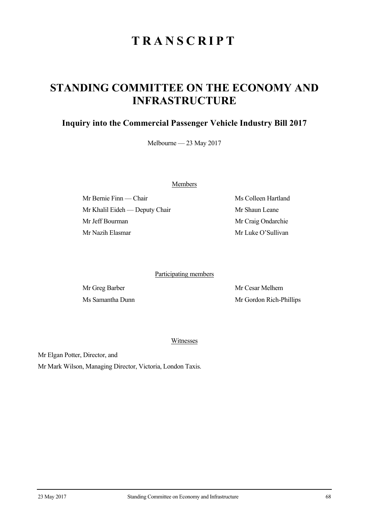## **TRANSCRIPT**

## **STANDING COMMITTEE ON THE ECONOMY AND INFRASTRUCTURE**

## **Inquiry into the Commercial Passenger Vehicle Industry Bill 2017**

Melbourne — 23 May 2017

Members

Mr Bernie Finn — Chair Ms Colleen Hartland Mr Khalil Eideh — Deputy Chair Mr Shaun Leane Mr Jeff Bourman Mr Craig Ondarchie Mr Nazih Elasmar Mr Luke O'Sullivan

Participating members

Mr Greg Barber Mr Cesar Melhem Ms Samantha Dunn Mr Gordon Rich-Phillips

Witnesses

Mr Elgan Potter, Director, and

Mr Mark Wilson, Managing Director, Victoria, London Taxis.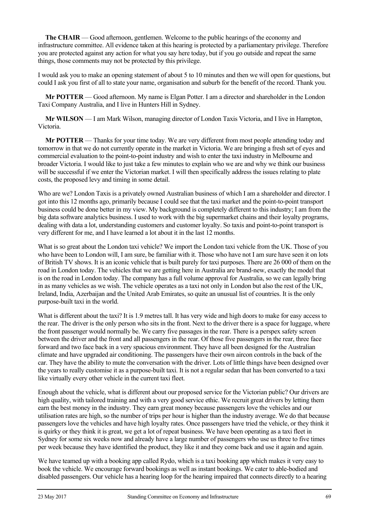**The CHAIR** — Good afternoon, gentlemen. Welcome to the public hearings of the economy and infrastructure committee. All evidence taken at this hearing is protected by a parliamentary privilege. Therefore you are protected against any action for what you say here today, but if you go outside and repeat the same things, those comments may not be protected by this privilege.

I would ask you to make an opening statement of about 5 to 10 minutes and then we will open for questions, but could I ask you first of all to state your name, organisation and suburb for the benefit of the record. Thank you.

**Mr POTTER** — Good afternoon. My name is Elgan Potter. I am a director and shareholder in the London Taxi Company Australia, and I live in Hunters Hill in Sydney.

**Mr WILSON** — I am Mark Wilson, managing director of London Taxis Victoria, and I live in Hampton, Victoria.

**Mr POTTER** — Thanks for your time today. We are very different from most people attending today and tomorrow in that we do not currently operate in the market in Victoria. We are bringing a fresh set of eyes and commercial evaluation to the point-to-point industry and wish to enter the taxi industry in Melbourne and broader Victoria. I would like to just take a few minutes to explain who we are and why we think our business will be successful if we enter the Victorian market. I will then specifically address the issues relating to plate costs, the proposed levy and timing in some detail.

Who are we? London Taxis is a privately owned Australian business of which I am a shareholder and director. I got into this 12 months ago, primarily because I could see that the taxi market and the point-to-point transport business could be done better in my view. My background is completely different to this industry; I am from the big data software analytics business. I used to work with the big supermarket chains and their loyalty programs, dealing with data a lot, understanding customers and customer loyalty. So taxis and point-to-point transport is very different for me, and I have learned a lot about it in the last 12 months.

What is so great about the London taxi vehicle? We import the London taxi vehicle from the UK. Those of you who have been to London will, I am sure, be familiar with it. Those who have not I am sure have seen it on lots of British TV shows. It is an iconic vehicle that is built purely for taxi purposes. There are 26 000 of them on the road in London today. The vehicles that we are getting here in Australia are brand-new, exactly the model that is on the road in London today. The company has a full volume approval for Australia, so we can legally bring in as many vehicles as we wish. The vehicle operates as a taxi not only in London but also the rest of the UK, Ireland, India, Azerbaijan and the United Arab Emirates, so quite an unusual list of countries. It is the only purpose-built taxi in the world.

What is different about the taxi? It is 1.9 metres tall. It has very wide and high doors to make for easy access to the rear. The driver is the only person who sits in the front. Next to the driver there is a space for luggage, where the front passenger would normally be. We carry five passages in the rear. There is a perspex safety screen between the driver and the front and all passengers in the rear. Of those five passengers in the rear, three face forward and two face back in a very spacious environment. They have all been designed for the Australian climate and have upgraded air conditioning. The passengers have their own aircon controls in the back of the car. They have the ability to mute the conversation with the driver. Lots of little things have been designed over the years to really customise it as a purpose-built taxi. It is not a regular sedan that has been converted to a taxi like virtually every other vehicle in the current taxi fleet.

Enough about the vehicle, what is different about our proposed service for the Victorian public? Our drivers are high quality, with tailored training and with a very good service ethic. We recruit great drivers by letting them earn the best money in the industry. They earn great money because passengers love the vehicles and our utilisation rates are high, so the number of trips per hour is higher than the industry average. We do that because passengers love the vehicles and have high loyalty rates. Once passengers have tried the vehicle, or they think it is quirky or they think it is great, we get a lot of repeat business. We have been operating as a taxi fleet in Sydney for some six weeks now and already have a large number of passengers who use us three to five times per week because they have identified the product, they like it and they come back and use it again and again.

We have teamed up with a booking app called Rydo, which is a taxi booking app which makes it very easy to book the vehicle. We encourage forward bookings as well as instant bookings. We cater to able-bodied and disabled passengers. Our vehicle has a hearing loop for the hearing impaired that connects directly to a hearing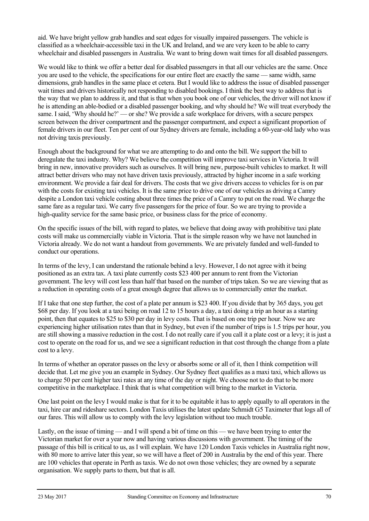aid. We have bright yellow grab handles and seat edges for visually impaired passengers. The vehicle is classified as a wheelchair-accessible taxi in the UK and Ireland, and we are very keen to be able to carry wheelchair and disabled passengers in Australia. We want to bring down wait times for all disabled passengers.

We would like to think we offer a better deal for disabled passengers in that all our vehicles are the same. Once you are used to the vehicle, the specifications for our entire fleet are exactly the same — same width, same dimensions, grab handles in the same place et cetera. But I would like to address the issue of disabled passenger wait times and drivers historically not responding to disabled bookings. I think the best way to address that is the way that we plan to address it, and that is that when you book one of our vehicles, the driver will not know if he is attending an able-bodied or a disabled passenger booking, and why should he? We will treat everybody the same. I said, 'Why should he?' — or she? We provide a safe workplace for drivers, with a secure perspex screen between the driver compartment and the passenger compartment, and expect a significant proportion of female drivers in our fleet. Ten per cent of our Sydney drivers are female, including a 60-year-old lady who was not driving taxis previously.

Enough about the background for what we are attempting to do and onto the bill. We support the bill to deregulate the taxi industry. Why? We believe the competition will improve taxi services in Victoria. It will bring in new, innovative providers such as ourselves. It will bring new, purpose-built vehicles to market. It will attract better drivers who may not have driven taxis previously, attracted by higher income in a safe working environment. We provide a fair deal for drivers. The costs that we give drivers access to vehicles for is on par with the costs for existing taxi vehicles. It is the same price to drive one of our vehicles as driving a Camry despite a London taxi vehicle costing about three times the price of a Camry to put on the road. We charge the same fare as a regular taxi. We carry five passengers for the price of four. So we are trying to provide a high-quality service for the same basic price, or business class for the price of economy.

On the specific issues of the bill, with regard to plates, we believe that doing away with prohibitive taxi plate costs will make us commercially viable in Victoria. That is the simple reason why we have not launched in Victoria already. We do not want a handout from governments. We are privately funded and well-funded to conduct our operations.

In terms of the levy, I can understand the rationale behind a levy. However, I do not agree with it being positioned as an extra tax. A taxi plate currently costs \$23 400 per annum to rent from the Victorian government. The levy will cost less than half that based on the number of trips taken. So we are viewing that as a reduction in operating costs of a great enough degree that allows us to commercially enter the market.

If I take that one step further, the cost of a plate per annum is \$23 400. If you divide that by 365 days, you get \$68 per day. If you look at a taxi being on road 12 to 15 hours a day, a taxi doing a trip an hour as a starting point, then that equates to \$25 to \$30 per day in levy costs. That is based on one trip per hour. Now we are experiencing higher utilisation rates than that in Sydney, but even if the number of trips is 1.5 trips per hour, you are still showing a massive reduction in the cost. I do not really care if you call it a plate cost or a levy; it is just a cost to operate on the road for us, and we see a significant reduction in that cost through the change from a plate cost to a levy.

In terms of whether an operator passes on the levy or absorbs some or all of it, then I think competition will decide that. Let me give you an example in Sydney. Our Sydney fleet qualifies as a maxi taxi, which allows us to charge 50 per cent higher taxi rates at any time of the day or night. We choose not to do that to be more competitive in the marketplace. I think that is what competition will bring to the market in Victoria.

One last point on the levy I would make is that for it to be equitable it has to apply equally to all operators in the taxi, hire car and rideshare sectors. London Taxis utilises the latest update Schmidt G5 Taximeter that logs all of our fares. This will allow us to comply with the levy legislation without too much trouble.

Lastly, on the issue of timing — and I will spend a bit of time on this — we have been trying to enter the Victorian market for over a year now and having various discussions with government. The timing of the passage of this bill is critical to us, as I will explain. We have 120 London Taxis vehicles in Australia right now, with 80 more to arrive later this year, so we will have a fleet of 200 in Australia by the end of this year. There are 100 vehicles that operate in Perth as taxis. We do not own those vehicles; they are owned by a separate organisation. We supply parts to them, but that is all.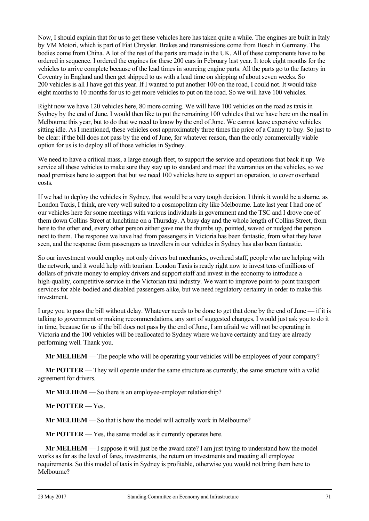Now, I should explain that for us to get these vehicles here has taken quite a while. The engines are built in Italy by VM Motori, which is part of Fiat Chrysler. Brakes and transmissions come from Bosch in Germany. The bodies come from China. A lot of the rest of the parts are made in the UK. All of these components have to be ordered in sequence. I ordered the engines for these 200 cars in February last year. It took eight months for the vehicles to arrive complete because of the lead times in sourcing engine parts. All the parts go to the factory in Coventry in England and then get shipped to us with a lead time on shipping of about seven weeks. So 200 vehicles is all I have got this year. If I wanted to put another 100 on the road, I could not. It would take eight months to 10 months for us to get more vehicles to put on the road. So we will have 100 vehicles.

Right now we have 120 vehicles here, 80 more coming. We will have 100 vehicles on the road as taxis in Sydney by the end of June. I would then like to put the remaining 100 vehicles that we have here on the road in Melbourne this year, but to do that we need to know by the end of June. We cannot leave expensive vehicles sitting idle. As I mentioned, these vehicles cost approximately three times the price of a Camry to buy. So just to be clear: if the bill does not pass by the end of June, for whatever reason, than the only commercially viable option for us is to deploy all of those vehicles in Sydney.

We need to have a critical mass, a large enough fleet, to support the service and operations that back it up. We service all these vehicles to make sure they stay up to standard and meet the warranties on the vehicles, so we need premises here to support that but we need 100 vehicles here to support an operation, to cover overhead costs.

If we had to deploy the vehicles in Sydney, that would be a very tough decision. I think it would be a shame, as London Taxis, I think, are very well suited to a cosmopolitan city like Melbourne. Late last year I had one of our vehicles here for some meetings with various individuals in government and the TSC and I drove one of them down Collins Street at lunchtime on a Thursday. A busy day and the whole length of Collins Street, from here to the other end, every other person either gave me the thumbs up, pointed, waved or nudged the person next to them. The response we have had from passengers in Victoria has been fantastic, from what they have seen, and the response from passengers as travellers in our vehicles in Sydney has also been fantastic.

So our investment would employ not only drivers but mechanics, overhead staff, people who are helping with the network, and it would help with tourism. London Taxis is ready right now to invest tens of millions of dollars of private money to employ drivers and support staff and invest in the economy to introduce a high-quality, competitive service in the Victorian taxi industry. We want to improve point-to-point transport services for able-bodied and disabled passengers alike, but we need regulatory certainty in order to make this investment.

I urge you to pass the bill without delay. Whatever needs to be done to get that done by the end of June — if it is talking to government or making recommendations, any sort of suggested changes, I would just ask you to do it in time, because for us if the bill does not pass by the end of June, I am afraid we will not be operating in Victoria and the 100 vehicles will be reallocated to Sydney where we have certainty and they are already performing well. Thank you.

**Mr MELHEM** — The people who will be operating your vehicles will be employees of your company?

**Mr POTTER** — They will operate under the same structure as currently, the same structure with a valid agreement for drivers.

**Mr MELHEM** — So there is an employee-employer relationship?

**Mr POTTER** — Yes.

**Mr MELHEM** — So that is how the model will actually work in Melbourne?

**Mr POTTER** — Yes, the same model as it currently operates here.

**Mr MELHEM** — I suppose it will just be the award rate? I am just trying to understand how the model works as far as the level of fares, investments, the return on investments and meeting all employee requirements. So this model of taxis in Sydney is profitable, otherwise you would not bring them here to Melbourne?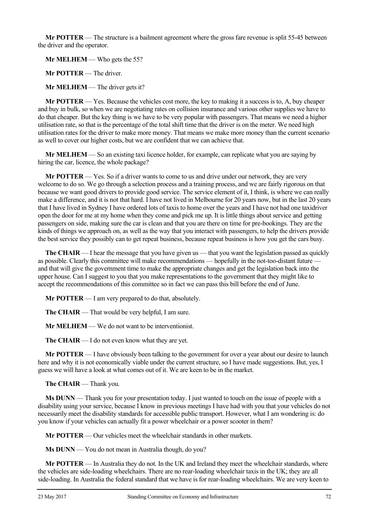**Mr POTTER** — The structure is a bailment agreement where the gross fare revenue is split 55-45 between the driver and the operator.

**Mr MELHEM** — Who gets the 55?

**Mr POTTER** — The driver.

**Mr MELHEM** — The driver gets it?

**Mr POTTER** — Yes. Because the vehicles cost more, the key to making it a success is to, A, buy cheaper and buy in bulk, so when we are negotiating rates on collision insurance and various other supplies we have to do that cheaper. But the key thing is we have to be very popular with passengers. That means we need a higher utilisation rate, so that is the percentage of the total shift time that the driver is on the meter. We need high utilisation rates for the driver to make more money. That means we make more money than the current scenario as well to cover our higher costs, but we are confident that we can achieve that.

**Mr MELHEM** — So an existing taxi licence holder, for example, can replicate what you are saying by hiring the car, licence, the whole package?

**Mr POTTER** — Yes. So if a driver wants to come to us and drive under our network, they are very welcome to do so. We go through a selection process and a training process, and we are fairly rigorous on that because we want good drivers to provide good service. The service element of it, I think, is where we can really make a difference, and it is not that hard. I have not lived in Melbourne for 20 years now, but in the last 20 years that I have lived in Sydney I have ordered lots of taxis to home over the years and I have not had one taxidriver open the door for me at my home when they come and pick me up. It is little things about service and getting passengers on side, making sure the car is clean and that you are there on time for pre-bookings. They are the kinds of things we approach on, as well as the way that you interact with passengers, to help the drivers provide the best service they possibly can to get repeat business, because repeat business is how you get the cars busy.

**The CHAIR** — I hear the message that you have given us — that you want the legislation passed as quickly as possible. Clearly this committee will make recommendations — hopefully in the not-too-distant future and that will give the government time to make the appropriate changes and get the legislation back into the upper house. Can I suggest to you that you make representations to the government that they might like to accept the recommendations of this committee so in fact we can pass this bill before the end of June.

**Mr POTTER** — I am very prepared to do that, absolutely.

**The CHAIR** — That would be very helpful, I am sure.

**Mr MELHEM** — We do not want to be interventionist.

**The CHAIR** — I do not even know what they are yet.

**Mr POTTER** — I have obviously been talking to the government for over a year about our desire to launch here and why it is not economically viable under the current structure, so I have made suggestions. But, yes, I guess we will have a look at what comes out of it. We are keen to be in the market.

**The CHAIR** — Thank you.

**Ms DUNN** — Thank you for your presentation today. I just wanted to touch on the issue of people with a disability using your service, because I know in previous meetings I have had with you that your vehicles do not necessarily meet the disability standards for accessible public transport. However, what I am wondering is: do you know if your vehicles can actually fit a power wheelchair or a power scooter in them?

**Mr POTTER** — Our vehicles meet the wheelchair standards in other markets.

**Ms DUNN** — You do not mean in Australia though, do you?

**Mr POTTER** — In Australia they do not. In the UK and Ireland they meet the wheelchair standards, where the vehicles are side-loading wheelchairs. There are no rear-loading wheelchair taxis in the UK; they are all side-loading. In Australia the federal standard that we have is for rear-loading wheelchairs. We are very keen to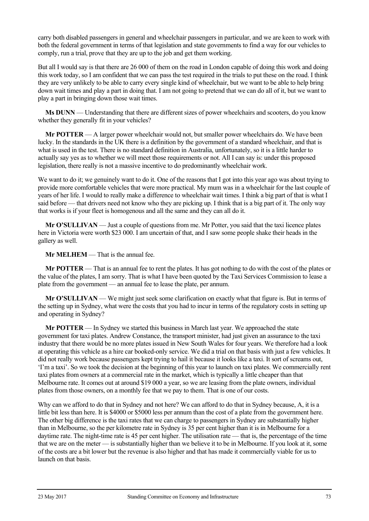carry both disabled passengers in general and wheelchair passengers in particular, and we are keen to work with both the federal government in terms of that legislation and state governments to find a way for our vehicles to comply, run a trial, prove that they are up to the job and get them working.

But all I would say is that there are 26 000 of them on the road in London capable of doing this work and doing this work today, so I am confident that we can pass the test required in the trials to put these on the road. I think they are very unlikely to be able to carry every single kind of wheelchair, but we want to be able to help bring down wait times and play a part in doing that. I am not going to pretend that we can do all of it, but we want to play a part in bringing down those wait times.

**Ms DUNN** — Understanding that there are different sizes of power wheelchairs and scooters, do you know whether they generally fit in your vehicles?

**Mr POTTER** — A larger power wheelchair would not, but smaller power wheelchairs do. We have been lucky. In the standards in the UK there is a definition by the government of a standard wheelchair, and that is what is used in the test. There is no standard definition in Australia, unfortunately, so it is a little harder to actually say yes as to whether we will meet those requirements or not. All I can say is: under this proposed legislation, there really is not a massive incentive to do predominantly wheelchair work.

We want to do it; we genuinely want to do it. One of the reasons that I got into this year ago was about trying to provide more comfortable vehicles that were more practical. My mum was in a wheelchair for the last couple of years of her life. I would to really make a difference to wheelchair wait times. I think a big part of that is what I said before — that drivers need not know who they are picking up. I think that is a big part of it. The only way that works is if your fleet is homogenous and all the same and they can all do it.

**Mr O'SULLIVAN** — Just a couple of questions from me. Mr Potter, you said that the taxi licence plates here in Victoria were worth \$23 000. I am uncertain of that, and I saw some people shake their heads in the gallery as well.

## **Mr MELHEM** — That is the annual fee.

**Mr POTTER** — That is an annual fee to rent the plates. It has got nothing to do with the cost of the plates or the value of the plates, I am sorry. That is what I have been quoted by the Taxi Services Commission to lease a plate from the government — an annual fee to lease the plate, per annum.

**Mr O'SULLIVAN** — We might just seek some clarification on exactly what that figure is. But in terms of the setting up in Sydney, what were the costs that you had to incur in terms of the regulatory costs in setting up and operating in Sydney?

**Mr POTTER** — In Sydney we started this business in March last year. We approached the state government for taxi plates. Andrew Constance, the transport minister, had just given an assurance to the taxi industry that there would be no more plates issued in New South Wales for four years. We therefore had a look at operating this vehicle as a hire car booked-only service. We did a trial on that basis with just a few vehicles. It did not really work because passengers kept trying to hail it because it looks like a taxi. It sort of screams out, 'I'm a taxi'. So we took the decision at the beginning of this year to launch on taxi plates. We commercially rent taxi plates from owners at a commercial rate in the market, which is typically a little cheaper than that Melbourne rate. It comes out at around \$19 000 a year, so we are leasing from the plate owners, individual plates from those owners, on a monthly fee that we pay to them. That is one of our costs.

Why can we afford to do that in Sydney and not here? We can afford to do that in Sydney because, A, it is a little bit less than here. It is \$4000 or \$5000 less per annum than the cost of a plate from the government here. The other big difference is the taxi rates that we can charge to passengers in Sydney are substantially higher than in Melbourne, so the per kilometre rate in Sydney is 35 per cent higher than it is in Melbourne for a daytime rate. The night-time rate is 45 per cent higher. The utilisation rate — that is, the percentage of the time that we are on the meter — is substantially higher than we believe it to be in Melbourne. If you look at it, some of the costs are a bit lower but the revenue is also higher and that has made it commercially viable for us to launch on that basis.